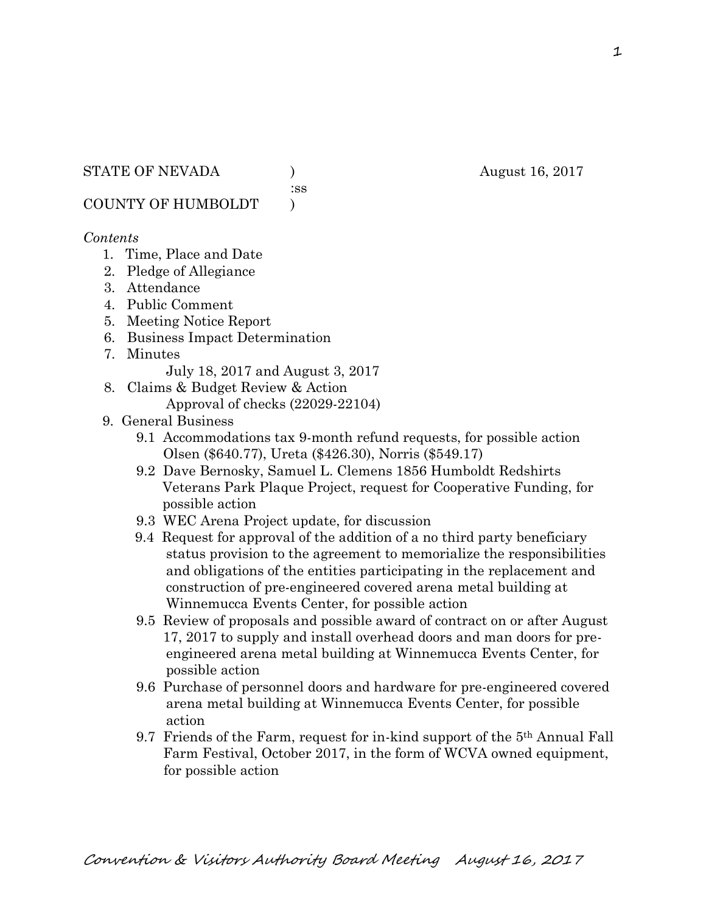:ss

COUNTY OF HUMBOLDT )

#### *Contents*

- 1. Time, Place and Date
- 2. Pledge of Allegiance
- 3. Attendance
- 4. Public Comment
- 5. Meeting Notice Report
- 6. Business Impact Determination
- 7. Minutes
	- July 18, 2017 and August 3, 2017
- 8. Claims & Budget Review & Action
	- Approval of checks (22029-22104)
- 9. General Business
	- 9.1 Accommodations tax 9-month refund requests, for possible action Olsen (\$640.77), Ureta (\$426.30), Norris (\$549.17)
	- 9.2 Dave Bernosky, Samuel L. Clemens 1856 Humboldt Redshirts Veterans Park Plaque Project, request for Cooperative Funding, for possible action
	- 9.3 WEC Arena Project update, for discussion
	- 9.4 Request for approval of the addition of a no third party beneficiary status provision to the agreement to memorialize the responsibilities and obligations of the entities participating in the replacement and construction of pre-engineered covered arena metal building at Winnemucca Events Center, for possible action
	- 9.5 Review of proposals and possible award of contract on or after August 17, 2017 to supply and install overhead doors and man doors for pre engineered arena metal building at Winnemucca Events Center, for possible action
	- 9.6 Purchase of personnel doors and hardware for pre-engineered covered arena metal building at Winnemucca Events Center, for possible action
	- 9.7 Friends of the Farm, request for in-kind support of the  $5<sup>th</sup>$  Annual Fall Farm Festival, October 2017, in the form of WCVA owned equipment, for possible action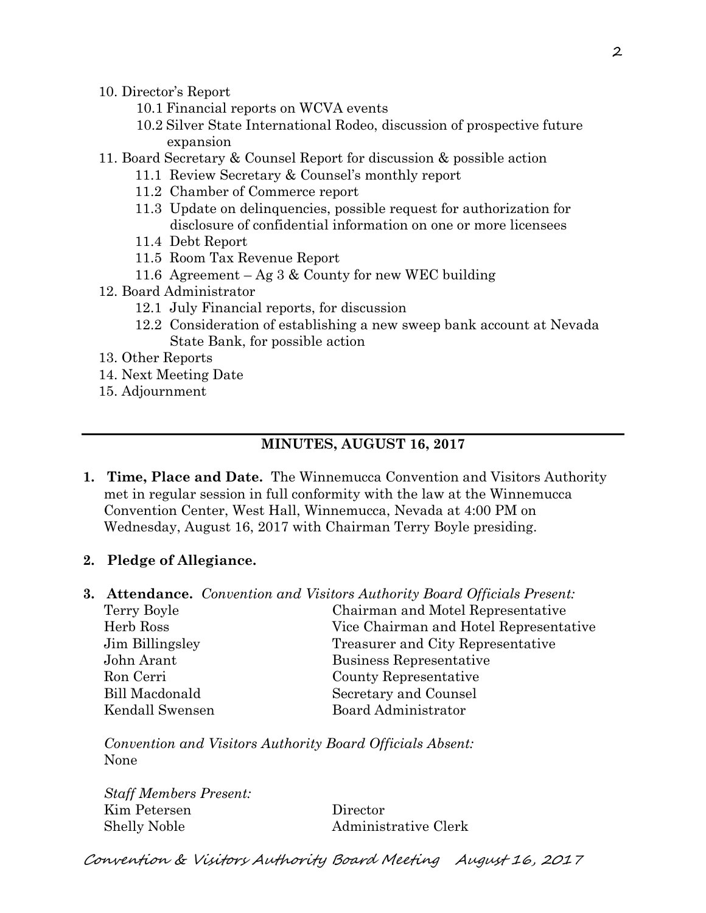- 10. Director's Report
	- 10.1 Financial reports on WCVA events
	- 10.2 Silver State International Rodeo, discussion of prospective future expansion
- 11. Board Secretary & Counsel Report for discussion & possible action
	- 11.1 Review Secretary & Counsel's monthly report
	- 11.2 Chamber of Commerce report
	- 11.3 Update on delinquencies, possible request for authorization for disclosure of confidential information on one or more licensees
	- 11.4 Debt Report
	- 11.5 Room Tax Revenue Report
	- 11.6 Agreement Ag  $3 \&$  County for new WEC building
- 12. Board Administrator
	- 12.1 July Financial reports, for discussion
	- 12.2 Consideration of establishing a new sweep bank account at Nevada State Bank, for possible action
- 13. Other Reports
- 14. Next Meeting Date
- 15. Adjournment

#### **MINUTES, AUGUST 16, 2017**

**1. Time, Place and Date.** The Winnemucca Convention and Visitors Authority met in regular session in full conformity with the law at the Winnemucca Convention Center, West Hall, Winnemucca, Nevada at 4:00 PM on Wednesday, August 16, 2017 with Chairman Terry Boyle presiding.

#### **2. Pledge of Allegiance.**

**3. Attendance.** *Convention and Visitors Authority Board Officials Present:*  Terry Boyle Chairman and Motel Representative Herb Ross Vice Chairman and Hotel Representative Jim Billingsley Treasurer and City Representative John Arant Business Representative Ron Cerri County Representative Bill Macdonald Secretary and Counsel Kendall Swensen Board Administrator

*Convention and Visitors Authority Board Officials Absent:*  None

*Staff Members Present:*  Kim Petersen Director Shelly Noble Administrative Clerk

Convention & Visitors Authority Board Meeting August 16, 2017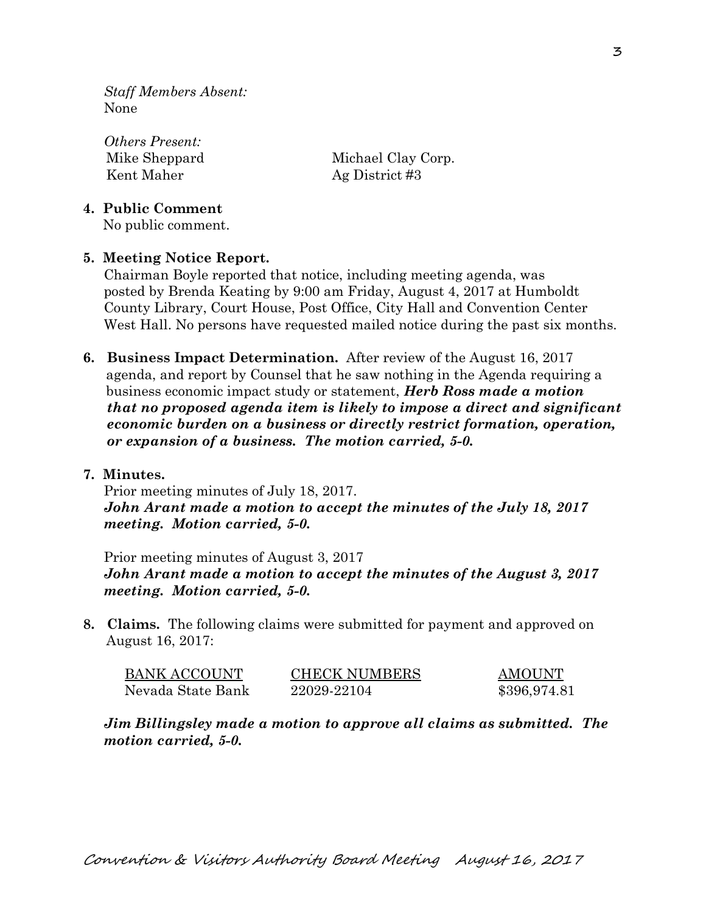*Staff Members Absent:*  None

*Others Present:*  Kent Maher Ag District #3

Mike Sheppard Michael Clay Corp.

### **4. Public Comment**

No public comment.

## **5. Meeting Notice Report.**

Chairman Boyle reported that notice, including meeting agenda, was posted by Brenda Keating by 9:00 am Friday, August 4, 2017 at Humboldt County Library, Court House, Post Office, City Hall and Convention Center West Hall. No persons have requested mailed notice during the past six months.

**6. Business Impact Determination.** After review of the August 16, 2017 agenda, and report by Counsel that he saw nothing in the Agenda requiring a business economic impact study or statement, *Herb Ross made a motion that no proposed agenda item is likely to impose a direct and significant economic burden on a business or directly restrict formation, operation, or expansion of a business. The motion carried, 5-0.* 

#### **7. Minutes.**

Prior meeting minutes of July 18, 2017. *John Arant made a motion to accept the minutes of the July 18, 2017 meeting. Motion carried, 5-0.* 

Prior meeting minutes of August 3, 2017 *John Arant made a motion to accept the minutes of the August 3, 2017 meeting. Motion carried, 5-0.*

**8. Claims.** The following claims were submitted for payment and approved on August 16, 2017:

| <b>BANK ACCOUNT</b> | <b>CHECK NUMBERS</b> | AMOUNT       |
|---------------------|----------------------|--------------|
| Nevada State Bank   | 22029-22104          | \$396,974.81 |

*Jim Billingsley made a motion to approve all claims as submitted. The motion carried, 5-0.*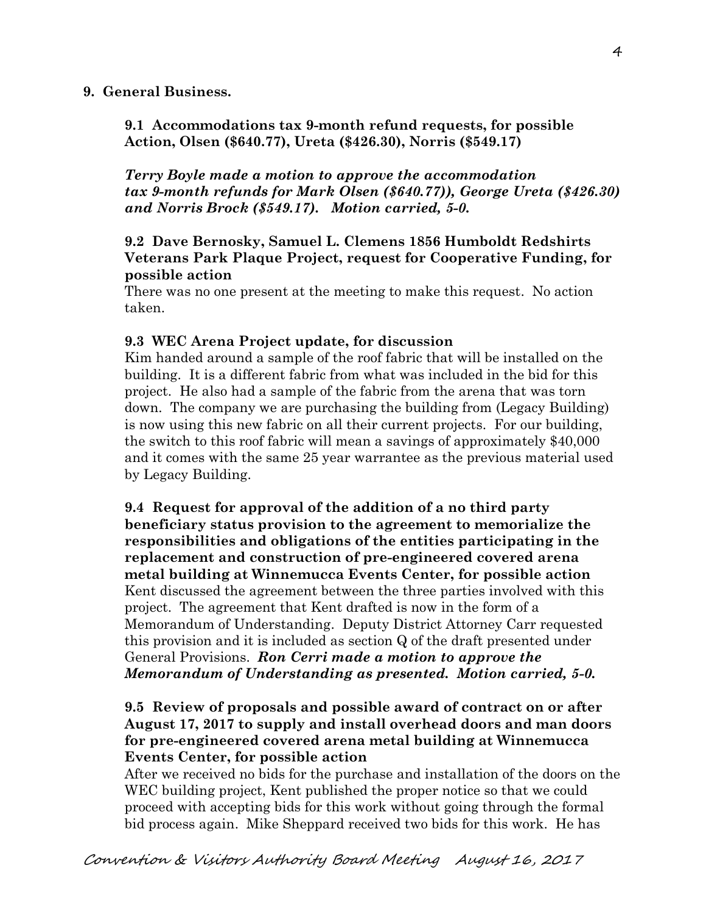#### **9. General Business.**

**9.1 Accommodations tax 9-month refund requests, for possible Action, Olsen (\$640.77), Ureta (\$426.30), Norris (\$549.17)** 

*Terry Boyle made a motion to approve the accommodation tax 9-month refunds for Mark Olsen (\$640.77)), George Ureta (\$426.30) and Norris Brock (\$549.17). Motion carried, 5-0.* 

### **9.2 Dave Bernosky, Samuel L. Clemens 1856 Humboldt Redshirts Veterans Park Plaque Project, request for Cooperative Funding, for possible action**

There was no one present at the meeting to make this request. No action taken.

#### **9.3 WEC Arena Project update, for discussion**

Kim handed around a sample of the roof fabric that will be installed on the building. It is a different fabric from what was included in the bid for this project. He also had a sample of the fabric from the arena that was torn down. The company we are purchasing the building from (Legacy Building) is now using this new fabric on all their current projects. For our building, the switch to this roof fabric will mean a savings of approximately \$40,000 and it comes with the same 25 year warrantee as the previous material used by Legacy Building.

**9.4 Request for approval of the addition of a no third party beneficiary status provision to the agreement to memorialize the responsibilities and obligations of the entities participating in the replacement and construction of pre-engineered covered arena metal building at Winnemucca Events Center, for possible action**  Kent discussed the agreement between the three parties involved with this project. The agreement that Kent drafted is now in the form of a Memorandum of Understanding. Deputy District Attorney Carr requested this provision and it is included as section Q of the draft presented under General Provisions. *Ron Cerri made a motion to approve the Memorandum of Understanding as presented. Motion carried, 5-0.* 

### **9.5 Review of proposals and possible award of contract on or after August 17, 2017 to supply and install overhead doors and man doors for pre-engineered covered arena metal building at Winnemucca Events Center, for possible action**

After we received no bids for the purchase and installation of the doors on the WEC building project, Kent published the proper notice so that we could proceed with accepting bids for this work without going through the formal bid process again. Mike Sheppard received two bids for this work. He has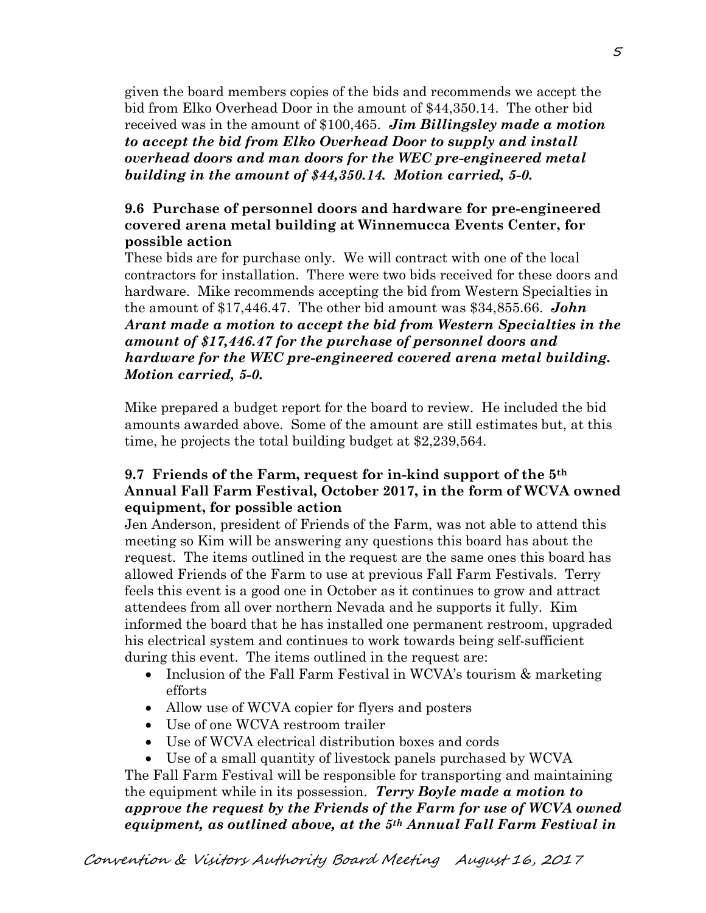given the board members copies of the bids and recommends we accept the bid from Elko Overhead Door in the amount of \$44,350.14. The other bid received was in the amount of \$100,465. *Jim Billingsley made a motion to accept the bid from Elko Overhead Door to supply and install overhead doors and man doors for the WEC pre-engineered metal building in the amount of \$44,350.14. Motion carried, 5-0.* 

## **9.6 Purchase of personnel doors and hardware for pre-engineered covered arena metal building at Winnemucca Events Center, for possible action**

These bids are for purchase only. We will contract with one of the local contractors for installation. There were two bids received for these doors and hardware. Mike recommends accepting the bid from Western Specialties in the amount of \$17,446.47. The other bid amount was \$34,855.66. *John Arant made a motion to accept the bid from Western Specialties in the amount of \$17,446.47 for the purchase of personnel doors and hardware for the WEC pre-engineered covered arena metal building. Motion carried, 5-0.* 

Mike prepared a budget report for the board to review. He included the bid amounts awarded above. Some of the amount are still estimates but, at this time, he projects the total building budget at \$2,239,564.

## **9.7 Friends of the Farm, request for in-kind support of the 5th Annual Fall Farm Festival, October 2017, in the form of WCVA owned equipment, for possible action**

Jen Anderson, president of Friends of the Farm, was not able to attend this meeting so Kim will be answering any questions this board has about the request. The items outlined in the request are the same ones this board has allowed Friends of the Farm to use at previous Fall Farm Festivals. Terry feels this event is a good one in October as it continues to grow and attract attendees from all over northern Nevada and he supports it fully. Kim informed the board that he has installed one permanent restroom, upgraded his electrical system and continues to work towards being self-sufficient during this event. The items outlined in the request are:

- Inclusion of the Fall Farm Festival in WCVA's tourism & marketing efforts
- Allow use of WCVA copier for flyers and posters
- Use of one WCVA restroom trailer
- Use of WCVA electrical distribution boxes and cords
- Use of a small quantity of livestock panels purchased by WCVA

The Fall Farm Festival will be responsible for transporting and maintaining the equipment while in its possession. *Terry Boyle made a motion to approve the request by the Friends of the Farm for use of WCVA owned equipment, as outlined above, at the 5th Annual Fall Farm Festival in*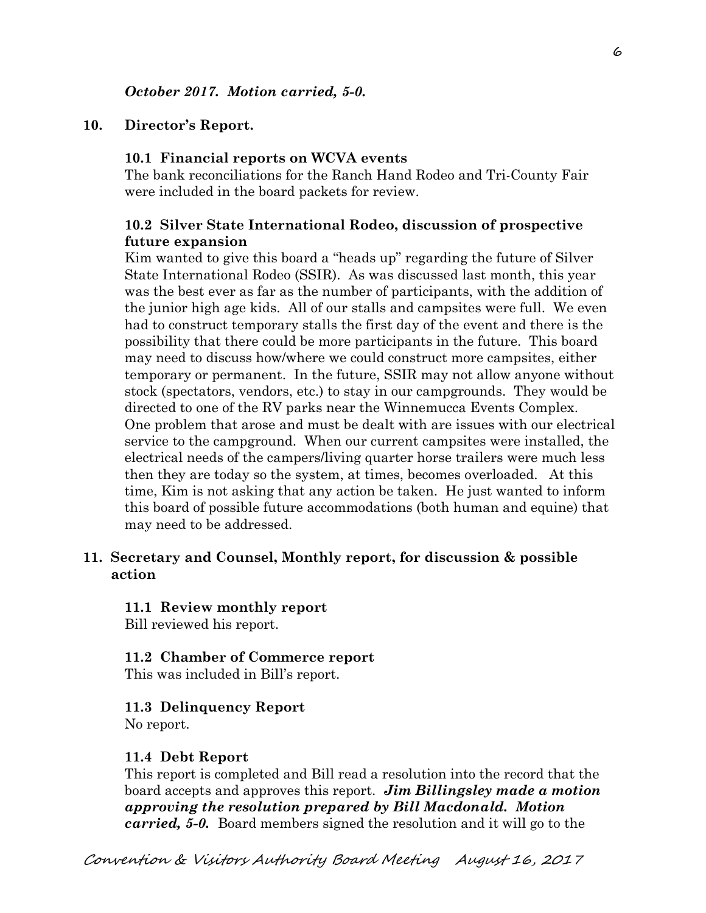#### **10. Director's Report.**

#### **10.1 Financial reports on WCVA events**

The bank reconciliations for the Ranch Hand Rodeo and Tri-County Fair were included in the board packets for review.

#### **10.2 Silver State International Rodeo, discussion of prospective future expansion**

Kim wanted to give this board a "heads up" regarding the future of Silver State International Rodeo (SSIR). As was discussed last month, this year was the best ever as far as the number of participants, with the addition of the junior high age kids. All of our stalls and campsites were full. We even had to construct temporary stalls the first day of the event and there is the possibility that there could be more participants in the future. This board may need to discuss how/where we could construct more campsites, either temporary or permanent. In the future, SSIR may not allow anyone without stock (spectators, vendors, etc.) to stay in our campgrounds. They would be directed to one of the RV parks near the Winnemucca Events Complex. One problem that arose and must be dealt with are issues with our electrical service to the campground. When our current campsites were installed, the electrical needs of the campers/living quarter horse trailers were much less then they are today so the system, at times, becomes overloaded. At this time, Kim is not asking that any action be taken. He just wanted to inform this board of possible future accommodations (both human and equine) that may need to be addressed.

#### **11. Secretary and Counsel, Monthly report, for discussion & possible action**

# **11.1 Review monthly report**

Bill reviewed his report.

#### **11.2 Chamber of Commerce report**

This was included in Bill's report.

#### **11.3 Delinquency Report**

No report.

#### **11.4 Debt Report**

This report is completed and Bill read a resolution into the record that the board accepts and approves this report. *Jim Billingsley made a motion approving the resolution prepared by Bill Macdonald. Motion carried, 5-0.* Board members signed the resolution and it will go to the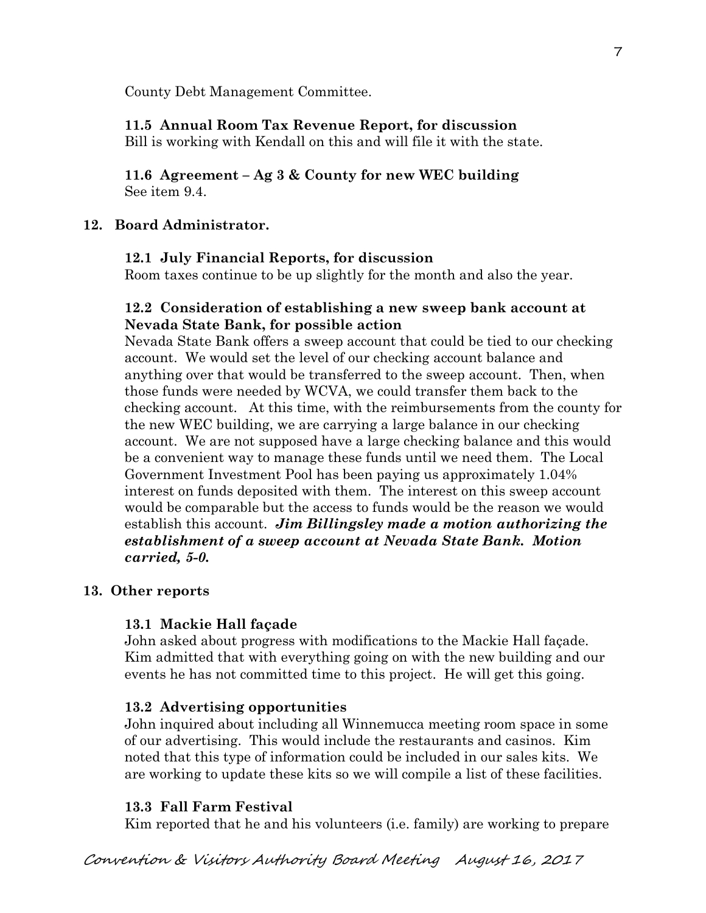County Debt Management Committee.

# **11.5 Annual Room Tax Revenue Report, for discussion**

Bill is working with Kendall on this and will file it with the state.

## **11.6 Agreement – Ag 3 & County for new WEC building**  See item 9.4.

# **12. Board Administrator.**

## **12.1 July Financial Reports, for discussion**

Room taxes continue to be up slightly for the month and also the year.

## **12.2 Consideration of establishing a new sweep bank account at Nevada State Bank, for possible action**

Nevada State Bank offers a sweep account that could be tied to our checking account. We would set the level of our checking account balance and anything over that would be transferred to the sweep account. Then, when those funds were needed by WCVA, we could transfer them back to the checking account. At this time, with the reimbursements from the county for the new WEC building, we are carrying a large balance in our checking account. We are not supposed have a large checking balance and this would be a convenient way to manage these funds until we need them. The Local Government Investment Pool has been paying us approximately 1.04% interest on funds deposited with them. The interest on this sweep account would be comparable but the access to funds would be the reason we would establish this account. *Jim Billingsley made a motion authorizing the establishment of a sweep account at Nevada State Bank. Motion carried, 5-0.* 

#### **13. Other reports**

# **13.1 Mackie Hall façade**

John asked about progress with modifications to the Mackie Hall façade. Kim admitted that with everything going on with the new building and our events he has not committed time to this project. He will get this going.

# **13.2 Advertising opportunities**

John inquired about including all Winnemucca meeting room space in some of our advertising. This would include the restaurants and casinos. Kim noted that this type of information could be included in our sales kits. We are working to update these kits so we will compile a list of these facilities.

# **13.3 Fall Farm Festival**

Kim reported that he and his volunteers (i.e. family) are working to prepare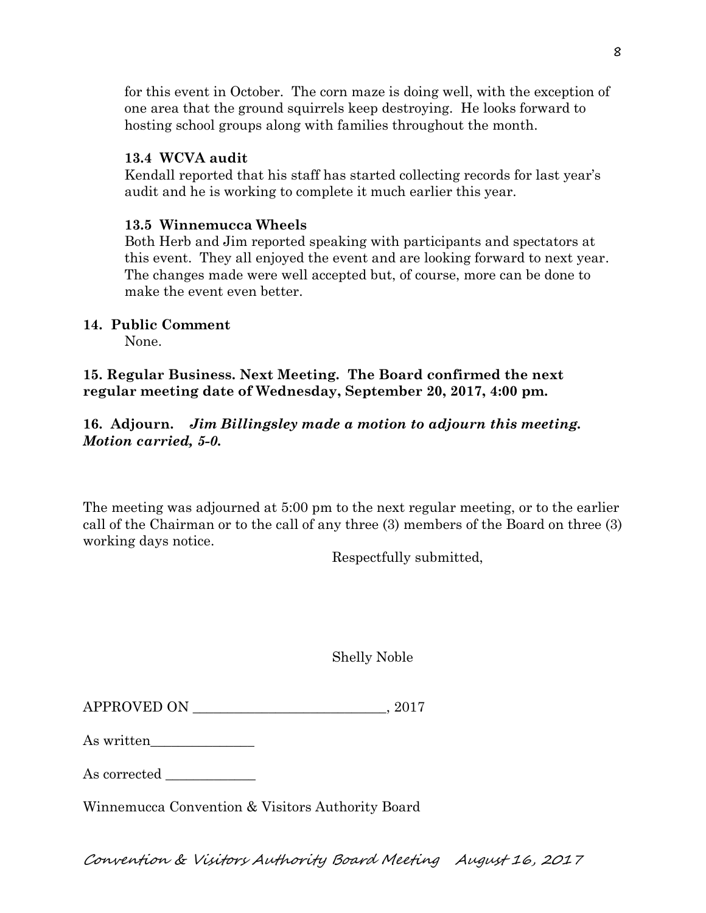for this event in October. The corn maze is doing well, with the exception of one area that the ground squirrels keep destroying. He looks forward to hosting school groups along with families throughout the month.

#### **13.4 WCVA audit**

Kendall reported that his staff has started collecting records for last year's audit and he is working to complete it much earlier this year.

## **13.5 Winnemucca Wheels**

Both Herb and Jim reported speaking with participants and spectators at this event. They all enjoyed the event and are looking forward to next year. The changes made were well accepted but, of course, more can be done to make the event even better.

# **14. Public Comment**

None.

## **15. Regular Business. Next Meeting. The Board confirmed the next regular meeting date of Wednesday, September 20, 2017, 4:00 pm.**

# **16. Adjourn.** *Jim Billingsley made a motion to adjourn this meeting. Motion carried, 5-0.*

The meeting was adjourned at 5:00 pm to the next regular meeting, or to the earlier call of the Chairman or to the call of any three (3) members of the Board on three (3) working days notice.

Respectfully submitted,

|  | <b>Shelly Noble</b> |
|--|---------------------|
|--|---------------------|

| <b>APPROVED ON</b> | 201' |
|--------------------|------|
|                    |      |

| As written |  |
|------------|--|
|            |  |

As corrected

Winnemucca Convention & Visitors Authority Board

Convention & Visitors Authority Board Meeting August 16, 2017